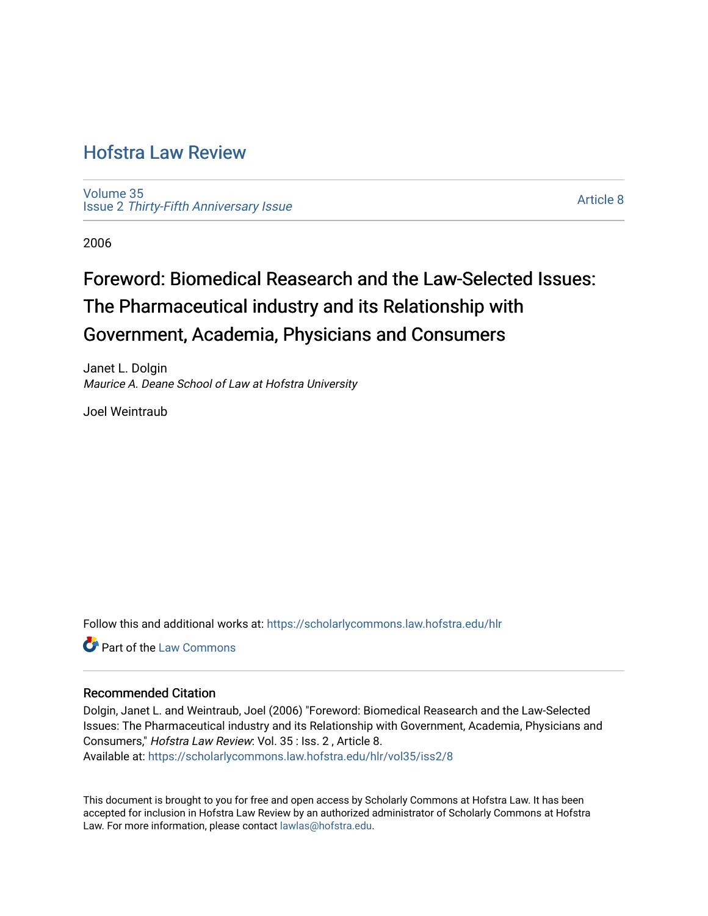## [Hofstra Law Review](https://scholarlycommons.law.hofstra.edu/hlr)

[Volume 35](https://scholarlycommons.law.hofstra.edu/hlr/vol35) Issue 2 [Thirty-Fifth Anniversary Issue](https://scholarlycommons.law.hofstra.edu/hlr/vol35/iss2)

[Article 8](https://scholarlycommons.law.hofstra.edu/hlr/vol35/iss2/8) 

2006

# Foreword: Biomedical Reasearch and the Law-Selected Issues: The Pharmaceutical industry and its Relationship with Government, Academia, Physicians and Consumers

Janet L. Dolgin Maurice A. Deane School of Law at Hofstra University

Joel Weintraub

Follow this and additional works at: [https://scholarlycommons.law.hofstra.edu/hlr](https://scholarlycommons.law.hofstra.edu/hlr?utm_source=scholarlycommons.law.hofstra.edu%2Fhlr%2Fvol35%2Fiss2%2F8&utm_medium=PDF&utm_campaign=PDFCoverPages)

**C** Part of the [Law Commons](http://network.bepress.com/hgg/discipline/578?utm_source=scholarlycommons.law.hofstra.edu%2Fhlr%2Fvol35%2Fiss2%2F8&utm_medium=PDF&utm_campaign=PDFCoverPages)

#### Recommended Citation

Dolgin, Janet L. and Weintraub, Joel (2006) "Foreword: Biomedical Reasearch and the Law-Selected Issues: The Pharmaceutical industry and its Relationship with Government, Academia, Physicians and Consumers," Hofstra Law Review: Vol. 35 : Iss. 2 , Article 8.

Available at: [https://scholarlycommons.law.hofstra.edu/hlr/vol35/iss2/8](https://scholarlycommons.law.hofstra.edu/hlr/vol35/iss2/8?utm_source=scholarlycommons.law.hofstra.edu%2Fhlr%2Fvol35%2Fiss2%2F8&utm_medium=PDF&utm_campaign=PDFCoverPages)

This document is brought to you for free and open access by Scholarly Commons at Hofstra Law. It has been accepted for inclusion in Hofstra Law Review by an authorized administrator of Scholarly Commons at Hofstra Law. For more information, please contact [lawlas@hofstra.edu.](mailto:lawlas@hofstra.edu)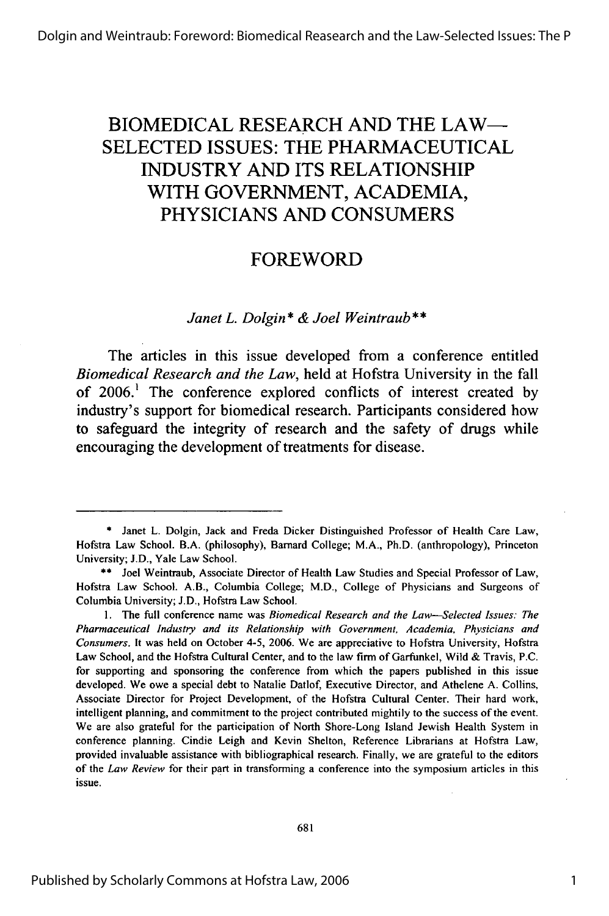### BIOMEDICAL **RESEARCH AND** THE LAW-**SELECTED ISSUES:** THE **PHARMACEUTICAL INDUSTRY AND ITS** RELATIONSHIP WITH **GOVERNMENT, ACADEMIA, PHYSICIANS AND CONSUMERS**

### FOREWORD

*Janet L. Dolgin* \* *& Joel Weintraub \*\**

The articles in this issue developed from a conference entitled *Biomedical Research and the Law,* held at Hofstra University in the fall of 2006.<sup>1</sup> The conference explored conflicts of interest created by industry's support for biomedical research. Participants considered how to safeguard the integrity of research and the safety of drugs while encouraging the development of treatments for disease.

**<sup>\*</sup>** Janet L. Dolgin, Jack and Freda Dicker Distinguished Professor of Health Care Law, Hofstra Law School. B.A. (philosophy), Barnard College; M.A., Ph.D. (anthropology), Princeton University; J.D., Yale Law School.

**<sup>\*\*</sup>** Joel Weintraub, Associate Director of Health Law Studies and Special Professor of Law, Hofstra Law School. A.B., Columbia College; M.D., College of Physicians and Surgeons of Columbia University; J.D., Hofstra Law School.

**<sup>1.</sup>** The full conference name was *Biomedical Research and the Law-Selected Issues: The Pharmaceutical Industry and its Relationship with Government, Academia, Physicians and Consumers.* It was held on October 4-5, 2006. We are appreciative to Hofstra University, Hofstra Law School, and the Hofstra Cultural Center, and to the law firm of Garfunkel, Wild & Travis, P.C. for supporting and sponsoring the conference from which the papers published in this issue developed. We owe a special debt to Natalie Datlof, Executive Director, and Athelene A. Collins, Associate Director for Project Development, of the Hofstra Cultural Center. Their hard work, intelligent planning, and commitment to the project contributed mightily to the success of the event. We are also grateful for the participation of North Shore-Long Island Jewish Health System in conference planning. Cindie Leigh and Kevin Shelton, Reference Librarians at Hofstra Law, provided invaluable assistance with bibliographical research. Finally, we are grateful to the editors of the *Law Review* for their part in transforming a conference into the symposium articles in this issue.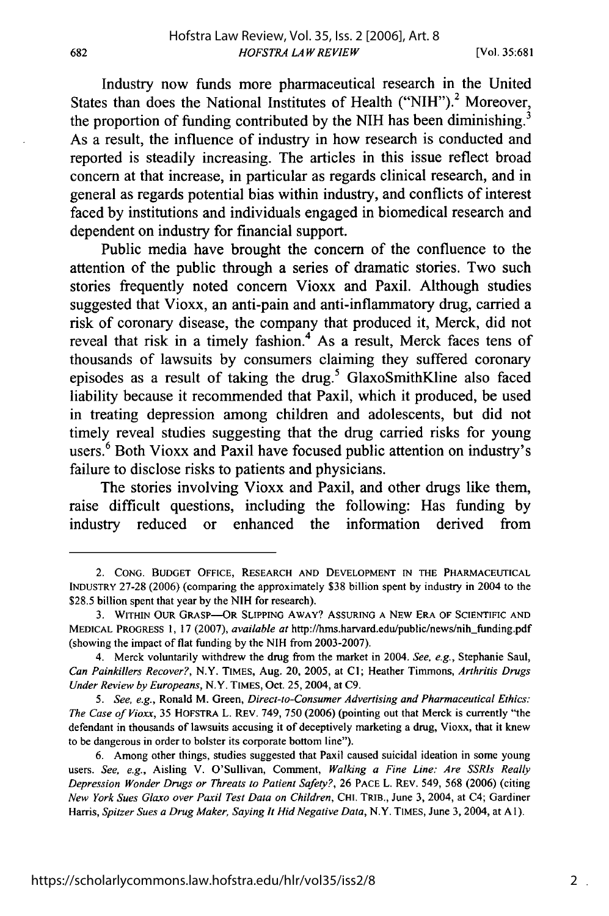682

Industry now funds more pharmaceutical research in the United States than does the National Institutes of Health ("NIH").<sup>2</sup> Moreover, the proportion of funding contributed by the NIH has been diminishing.<sup>3</sup> As a result, the influence of industry in how research is conducted and reported is steadily increasing. The articles in this issue reflect broad concern at that increase, in particular as regards clinical research, and in general as regards potential bias within industry, and conflicts of interest faced by institutions and individuals engaged in biomedical research and dependent on industry for financial support.

Public media have brought the concern of the confluence to the attention of the public through a series of dramatic stories. Two such stories frequently noted concern Vioxx and Paxil. Although studies suggested that Vioxx, an anti-pain and anti-inflammatory drug, carried a risk of coronary disease, the company that produced it, Merck, did not reveal that risk in a timely fashion.<sup>4</sup> As a result, Merck faces tens of thousands of lawsuits by consumers claiming they suffered coronary episodes as a result of taking the drug.<sup>5</sup> GlaxoSmithKline also faced liability because it recommended that Paxil, which it produced, be used in treating depression among children and adolescents, but did not timely reveal studies suggesting that the drug carried risks for young users.<sup>6</sup> Both Vioxx and Paxil have focused public attention on industry's failure to disclose risks to patients and physicians.

The stories involving Vioxx and Paxil, and other drugs like them, raise difficult questions, including the following: Has funding by industry reduced or enhanced the information derived from

<sup>2.</sup> CONG. BUDGET OFFICE, RESEARCH **AND** DEVELOPMENT IN THE PHARMACEUTICAL INDUSTRY 27-28 (2006) (comparing the approximately \$38 billion spent by industry in 2004 to the \$28.5 billion spent that year by the NIH for research).

<sup>3.</sup> WITHIN OUR GRASP-OR SLIPPING AWAY? ASSURING A NEW ERA OF SCIENTIFIC AND MEDICAL PROGRESS 1, 17 (2007), available *at* http://hms.harvard.edu/public/news/nih-funding.pdf (showing the impact of flat funding by the NIH from 2003-2007).

<sup>4.</sup> Merck voluntarily withdrew the drug from the market in 2004. See, e.g., Stephanie Saul, Can Painkillers Recover?, N.Y. TIMES, Aug. 20, 2005, at **Cl;** Heather Timmons, Arthritis Drugs Under Review by Europeans, N.Y. TIMES, Oct. 25, 2004, at C9.

*<sup>5.</sup>* See, e.g., Ronald M. Green, Direct-to-Consumer Advertising and Pharmaceutical Ethics: The Case of Vioxx, 35 HOFSTRA L. REV. 749, 750 (2006) (pointing out that Merck is currently "the defendant in thousands of lawsuits accusing it of deceptively marketing a drug, Vioxx, that it knew to be dangerous in order to bolster its corporate bottom line").

<sup>6.</sup> Among other things, studies suggested that Paxil caused suicidal ideation in some young users. See, e.g., Aisling V. O'Sullivan, Comment, Walking a Fine Line: Are SSRIs Really Depression Wonder Drugs or Threats to Patient Safety?, 26 **PACE** L. REV. 549, 568 (2006) (citing New York Sues Glaxo over Paxil Test Data on Children, **CHI.** TRIB., June 3, 2004, at C4; Gardiner Harris, Spitzer Sues a Drug Maker, Saying It Hid Negative Data, N.Y. TIMES, June 3, 2004, at A **1).**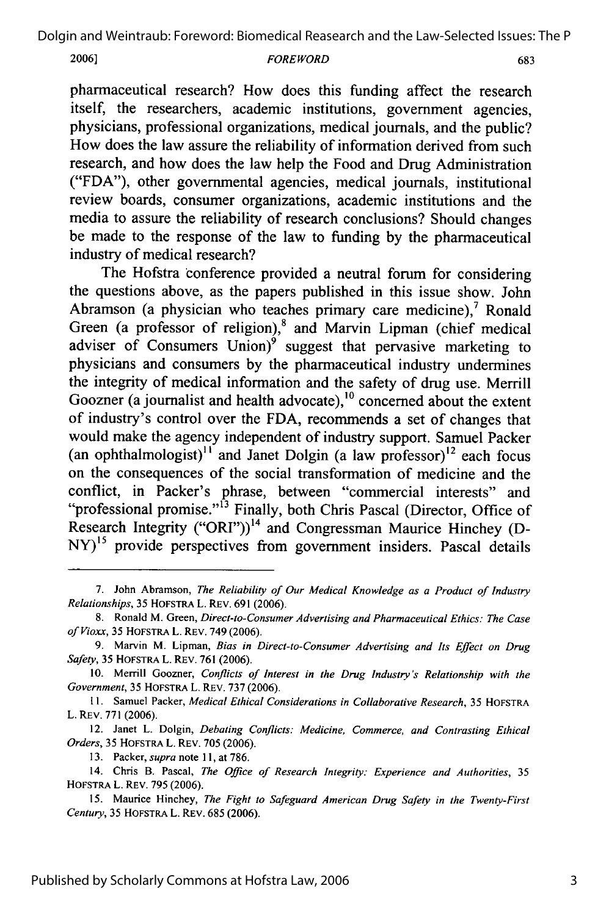**2006]**

#### **FOREWORD**

pharmaceutical research? How does this funding affect the research itself, the researchers, academic institutions, government agencies, physicians, professional organizations, medical journals, and the public? How does the law assure the reliability of information derived from such research, and how does the law help the Food and Drug Administration ("FDA"), other governmental agencies, medical journals, institutional review boards, consumer organizations, academic institutions and the media to assure the reliability of research conclusions? Should changes be made to the response of the law to funding by the pharmaceutical industry of medical research?

The Hofstra conference provided a neutral forum for considering the questions above, as the papers published in this issue show. John Abramson (a physician who teaches primary care medicine), $7$  Ronald Green (a professor of religion),<sup>8</sup> and Marvin Lipman (chief medical adviser of Consumers  $Union)^9$  suggest that pervasive marketing to physicians and consumers by the pharmaceutical industry undermines the integrity of medical information and the safety of drug use. Merrill Goozner (a journalist and health advocate), $10$  concerned about the extent of industry's control over the FDA, recommends a set of changes that would make the agency independent of industry support. Samuel Packer (an ophthalmologist)<sup>11</sup> and Janet Dolgin (a law professor)<sup>12</sup> each focus on the consequences of the social transformation of medicine and the conflict, in Packer's phrase, between "commercial interests" and conflict, in Packer's phrase, between "commercial interests" and "professional promise."' 13 Finally, both Chris Pascal (Director, Office of Research Integrity ("ORI"))<sup>14</sup> and Congressman Maurice Hinchey (D-NY)<sup>15</sup> provide perspectives from government insiders. Pascal details

12. Janet L. Dolgin, *Debating Conflicts: Medicine, Commerce, and Contrasting Ethical Orders,* 35 HOFSTRA L. REV. 705 (2006).

13. Packer, *supra* note **11,** at 786.

683

<sup>7.</sup> John Abramson, *The Reliability of Our Medical Knowledge as a Product of Industry Relationships,* 35 HOFSTRA L. REV. 691 (2006).

<sup>8.</sup> Ronald M. Green, *Direct-to-Consumer Advertising and Pharmaceutical Ethics: The Case of Vioxx,* 35 HOFSTRA L. REV. 749 (2006).

<sup>9.</sup> Marvin M. Lipman, *Bias in Direct-to-Consumer Advertising and Its Effect on Drug Safety,* 35 HOFSTRA L. REV. 761 (2006).

<sup>10.</sup> Merrill Goozner, *Conflicts of Interest in the Drug Industry's Relationship with the Government,* 35 HOFSTRA L. REV. 737 (2006).

**<sup>11.</sup>** Samuel Packer, *Medical Ethical Considerations in Collaborative Research,* 35 HOFSTRA L. REV. 771 (2006).

<sup>14.</sup> Chris B. Pascal, *The Office of Research Integrity: Experience and Authorities,* <sup>35</sup> HOFSTRA L. REV. 795 (2006).

<sup>15.</sup> Maurice Hinchey, *The Fight to Safeguard American Drug Safety in the Twenty-First Century,* 35 HOFSTRA L. REV. 685 (2006).